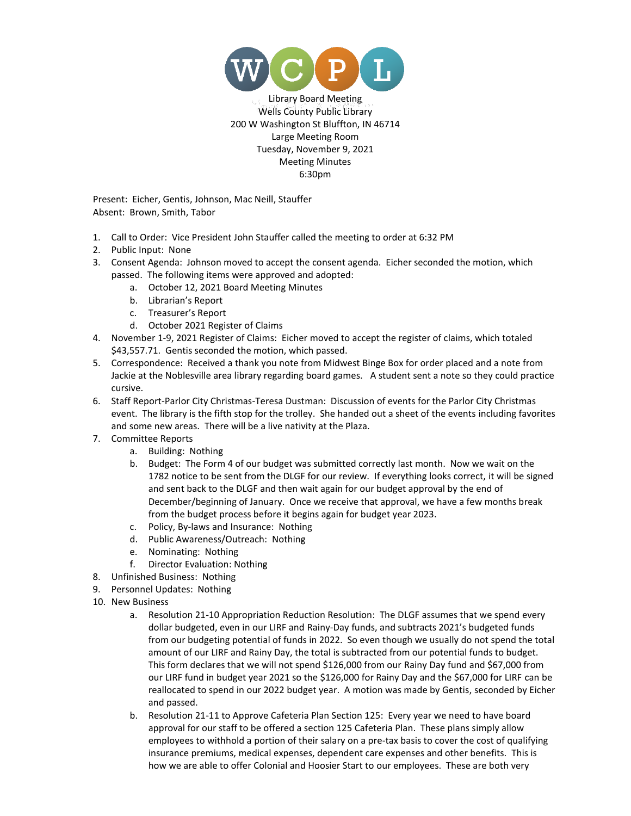

Library Board Meeting Wells County Public Library 200 W Washington St Bluffton, IN 46714 Large Meeting Room Tuesday, November 9, 2021 Meeting Minutes 6:30pm

 Present: Eicher, Gentis, Johnson, Mac Neill, Stauffer Absent: Brown, Smith, Tabor

- 1. Call to Order: Vice President John Stauffer called the meeting to order at 6:32 PM
- 2. Public Input: None
- 3. Consent Agenda: Johnson moved to accept the consent agenda. Eicher seconded the motion, which passed. The following items were approved and adopted:
	- a. October 12, 2021 Board Meeting Minutes
	- b. Librarian's Report
	- c. Treasurer's Report
	- d. October 2021 Register of Claims
- 4. November 1-9, 2021 Register of Claims: Eicher moved to accept the register of claims, which totaled \$43,557.71. Gentis seconded the motion, which passed.
- 5. Correspondence: Received a thank you note from Midwest Binge Box for order placed and a note from Jackie at the Noblesville area library regarding board games. A student sent a note so they could practice cursive.
- 6. Staff Report-Parlor City Christmas-Teresa Dustman: Discussion of events for the Parlor City Christmas event. The library is the fifth stop for the trolley. She handed out a sheet of the events including favorites and some new areas. There will be a live nativity at the Plaza.
- 7. Committee Reports
	- a. Building: Nothing
	- b. Budget: The Form 4 of our budget was submitted correctly last month. Now we wait on the 1782 notice to be sent from the DLGF for our review. If everything looks correct, it will be signed and sent back to the DLGF and then wait again for our budget approval by the end of December/beginning of January. Once we receive that approval, we have a few months break from the budget process before it begins again for budget year 2023.
	- c. Policy, By-laws and Insurance: Nothing
	- d. Public Awareness/Outreach: Nothing
	- e. Nominating: Nothing
	- f. Director Evaluation: Nothing
- 8. Unfinished Business: Nothing
- 9. Personnel Updates: Nothing
- 10. New Business
	- a. Resolution 21-10 Appropriation Reduction Resolution: The DLGF assumes that we spend every dollar budgeted, even in our LIRF and Rainy-Day funds, and subtracts 2021's budgeted funds from our budgeting potential of funds in 2022. So even though we usually do not spend the total amount of our LIRF and Rainy Day, the total is subtracted from our potential funds to budget. This form declares that we will not spend \$126,000 from our Rainy Day fund and \$67,000 from our LIRF fund in budget year 2021 so the \$126,000 for Rainy Day and the \$67,000 for LIRF can be reallocated to spend in our 2022 budget year. A motion was made by Gentis, seconded by Eicher and passed.
	- b. Resolution 21-11 to Approve Cafeteria Plan Section 125: Every year we need to have board approval for our staff to be offered a section 125 Cafeteria Plan. These plans simply allow employees to withhold a portion of their salary on a pre-tax basis to cover the cost of qualifying insurance premiums, medical expenses, dependent care expenses and other benefits. This is how we are able to offer Colonial and Hoosier Start to our employees. These are both very